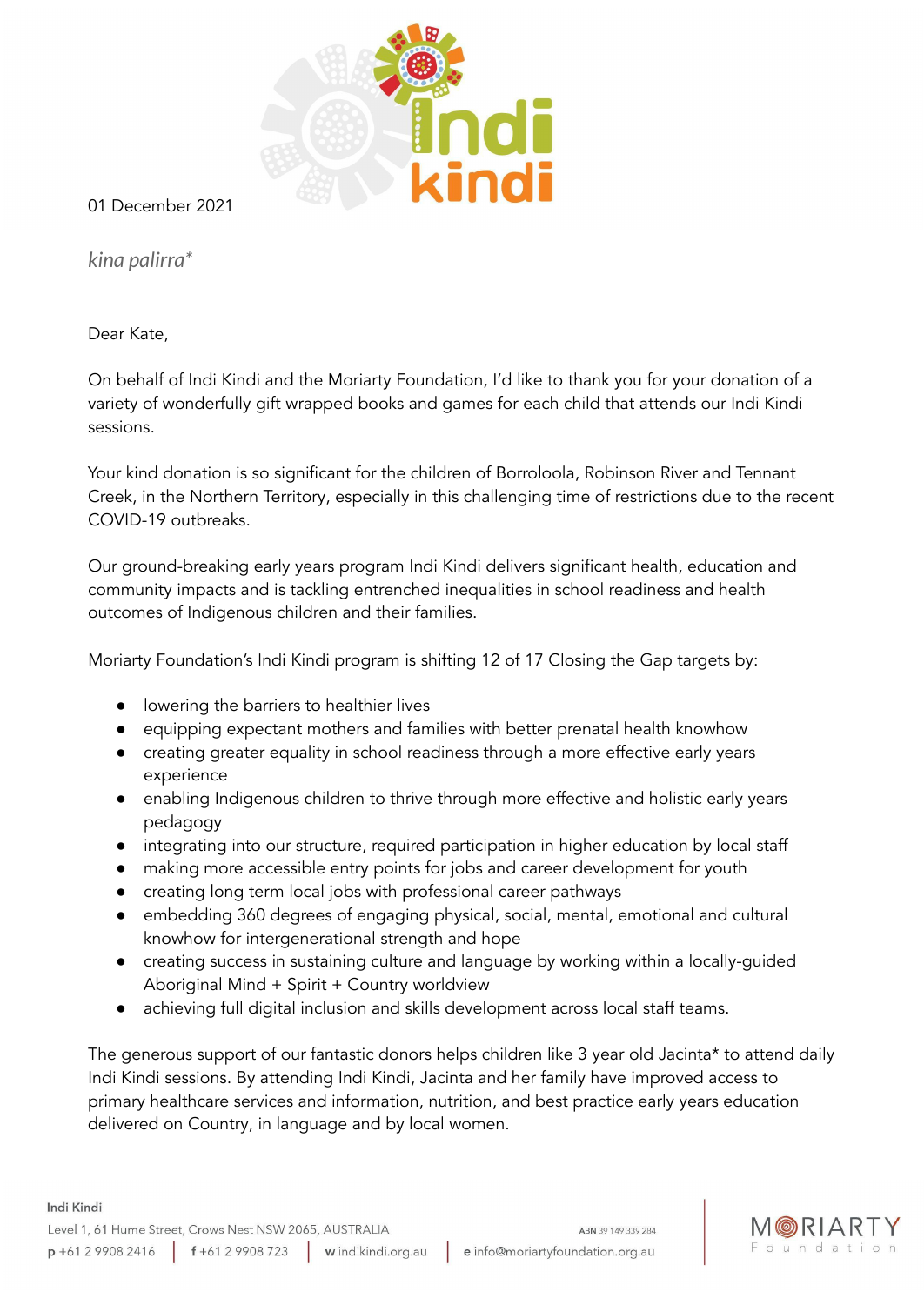

01 December 2021

*kina palirra\**

Dear Kate,

Indi Kindi

On behalf of Indi Kindi and the Moriarty Foundation, I'd like to thank you for your donation of a variety of wonderfully gift wrapped books and games for each child that attends our Indi Kindi sessions.

Your kind donation is so significant for the children of Borroloola, Robinson River and Tennant Creek, in the Northern Territory, especially in this challenging time of restrictions due to the recent COVID-19 outbreaks.

Our ground-breaking early years program Indi Kindi delivers significant health, education and community impacts and is tackling entrenched inequalities in school readiness and health outcomes of Indigenous children and their families.

Moriarty Foundation's Indi Kindi program is shifting 12 of 17 Closing the Gap targets by:

- lowering the barriers to healthier lives
- equipping expectant mothers and families with better prenatal health knowhow
- creating greater equality in school readiness through a more effective early years experience
- enabling Indigenous children to thrive through more effective and holistic early years pedagogy
- integrating into our structure, required participation in higher education by local staff
- making more accessible entry points for jobs and career development for youth
- creating long term local jobs with professional career pathways
- embedding 360 degrees of engaging physical, social, mental, emotional and cultural knowhow for intergenerational strength and hope
- creating success in sustaining culture and language by working within a locally-guided Aboriginal Mind + Spirit + Country worldview
- achieving full digital inclusion and skills development across local staff teams.

The generous support of our fantastic donors helps children like 3 year old Jacinta\* to attend daily Indi Kindi sessions. By attending Indi Kindi, Jacinta and her family have improved access to primary healthcare services and information, nutrition, and best practice early years education delivered on Country, in language and by local women.